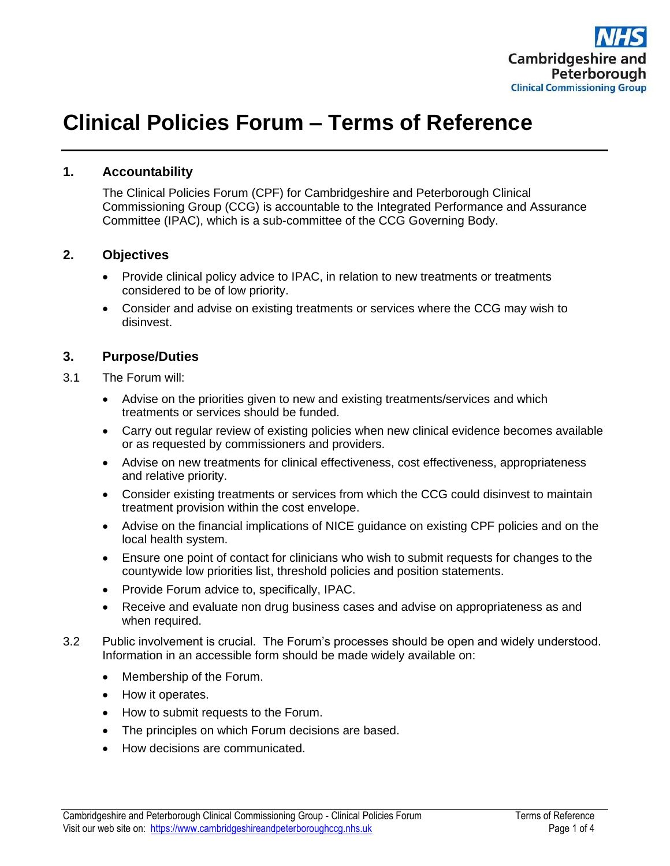

# **Clinical Policies Forum – Terms of Reference**

#### **1. Accountability**

The Clinical Policies Forum (CPF) for Cambridgeshire and Peterborough Clinical Commissioning Group (CCG) is accountable to the Integrated Performance and Assurance Committee (IPAC), which is a sub-committee of the CCG Governing Body.

#### **2. Objectives**

- Provide clinical policy advice to IPAC, in relation to new treatments or treatments considered to be of low priority.
- Consider and advise on existing treatments or services where the CCG may wish to disinvest.

#### **3. Purpose/Duties**

- 3.1 The Forum will:
	- Advise on the priorities given to new and existing treatments/services and which treatments or services should be funded.
	- Carry out regular review of existing policies when new clinical evidence becomes available or as requested by commissioners and providers.
	- Advise on new treatments for clinical effectiveness, cost effectiveness, appropriateness and relative priority.
	- Consider existing treatments or services from which the CCG could disinvest to maintain treatment provision within the cost envelope.
	- Advise on the financial implications of NICE guidance on existing CPF policies and on the local health system.
	- Ensure one point of contact for clinicians who wish to submit requests for changes to the countywide low priorities list, threshold policies and position statements.
	- Provide Forum advice to, specifically, IPAC.
	- Receive and evaluate non drug business cases and advise on appropriateness as and when required.
- 3.2 Public involvement is crucial. The Forum's processes should be open and widely understood. Information in an accessible form should be made widely available on:
	- Membership of the Forum.
	- How it operates.
	- How to submit requests to the Forum.
	- The principles on which Forum decisions are based.
	- How decisions are communicated.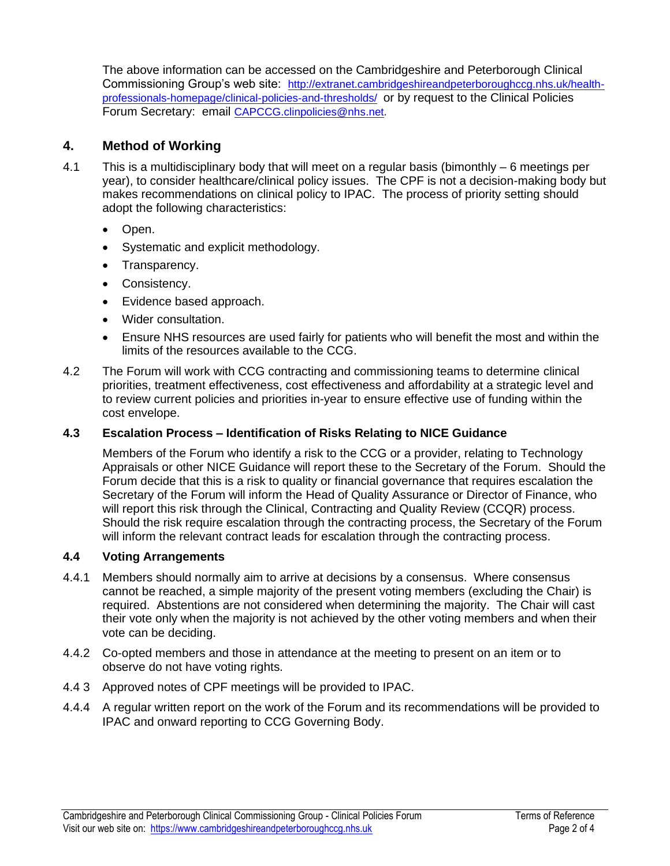The above information can be accessed on the Cambridgeshire and Peterborough Clinical Commissioning Group's web site: [http://extranet.cambridgeshireandpeterboroughccg.nhs.uk/health](http://extranet.cambridgeshireandpeterboroughccg.nhs.uk/health-professionals-homepage/clinical-policies-and-thresholds/)[professionals-homepage/clinical-policies-and-thresholds/](http://extranet.cambridgeshireandpeterboroughccg.nhs.uk/health-professionals-homepage/clinical-policies-and-thresholds/) or by request to the Clinical Policies Forum Secretary: email [CAPCCG.clinpolicies@nhs.net](mailto:CAPCCG.clinpolicies@nhs.net).

## **4. Method of Working**

- 4.1 This is a multidisciplinary body that will meet on a regular basis (bimonthly 6 meetings per year), to consider healthcare/clinical policy issues. The CPF is not a decision-making body but makes recommendations on clinical policy to IPAC. The process of priority setting should adopt the following characteristics:
	- Open.
	- Systematic and explicit methodology.
	- Transparency.
	- Consistency.
	- Evidence based approach.
	- Wider consultation.
	- Ensure NHS resources are used fairly for patients who will benefit the most and within the limits of the resources available to the CCG.
- 4.2 The Forum will work with CCG contracting and commissioning teams to determine clinical priorities, treatment effectiveness, cost effectiveness and affordability at a strategic level and to review current policies and priorities in-year to ensure effective use of funding within the cost envelope.

## **4.3 Escalation Process – Identification of Risks Relating to NICE Guidance**

Members of the Forum who identify a risk to the CCG or a provider, relating to Technology Appraisals or other NICE Guidance will report these to the Secretary of the Forum. Should the Forum decide that this is a risk to quality or financial governance that requires escalation the Secretary of the Forum will inform the Head of Quality Assurance or Director of Finance, who will report this risk through the Clinical, Contracting and Quality Review (CCQR) process. Should the risk require escalation through the contracting process, the Secretary of the Forum will inform the relevant contract leads for escalation through the contracting process.

## **4.4 Voting Arrangements**

- 4.4.1 Members should normally aim to arrive at decisions by a consensus. Where consensus cannot be reached, a simple majority of the present voting members (excluding the Chair) is required. Abstentions are not considered when determining the majority. The Chair will cast their vote only when the majority is not achieved by the other voting members and when their vote can be deciding.
- 4.4.2 Co-opted members and those in attendance at the meeting to present on an item or to observe do not have voting rights.
- 4.4 3 Approved notes of CPF meetings will be provided to IPAC.
- 4.4.4 A regular written report on the work of the Forum and its recommendations will be provided to IPAC and onward reporting to CCG Governing Body.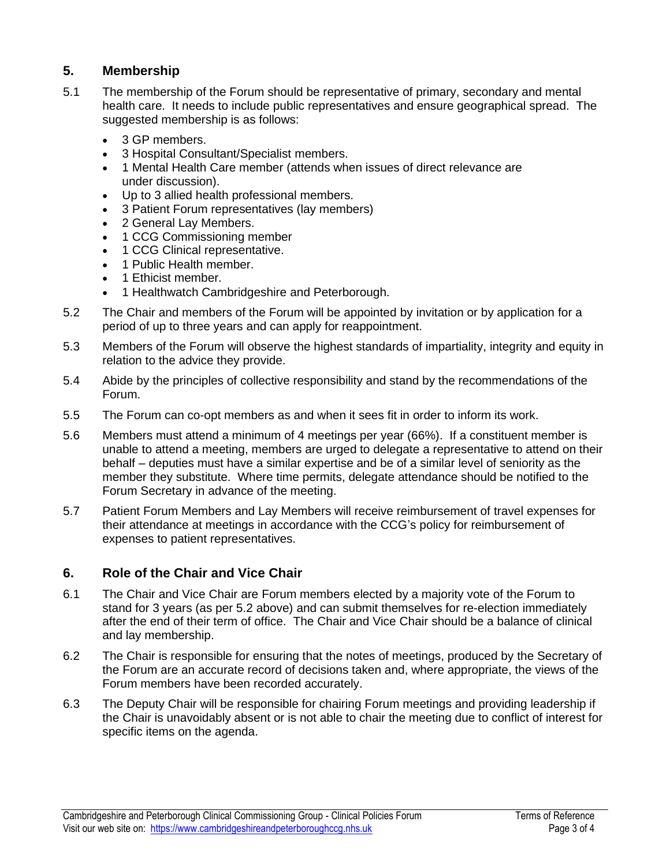# **5. Membership**

- 5.1 The membership of the Forum should be representative of primary, secondary and mental health care. It needs to include public representatives and ensure geographical spread. The suggested membership is as follows:
	- 3 GP members.
	- 3 Hospital Consultant/Specialist members.
	- 1 Mental Health Care member (attends when issues of direct relevance are under discussion).
	- Up to 3 allied health professional members.
	- 3 Patient Forum representatives (lay members)
	- 2 General Lay Members.
	- 1 CCG Commissioning member
	- 1 CCG Clinical representative.
	- 1 Public Health member.
	- 1 Ethicist member.
	- 1 Healthwatch Cambridgeshire and Peterborough.
- 5.2 The Chair and members of the Forum will be appointed by invitation or by application for a period of up to three years and can apply for reappointment.
- 5.3 Members of the Forum will observe the highest standards of impartiality, integrity and equity in relation to the advice they provide.
- 5.4 Abide by the principles of collective responsibility and stand by the recommendations of the Forum.
- 5.5 The Forum can co-opt members as and when it sees fit in order to inform its work.
- 5.6 Members must attend a minimum of 4 meetings per year (66%). If a constituent member is unable to attend a meeting, members are urged to delegate a representative to attend on their behalf – deputies must have a similar expertise and be of a similar level of seniority as the member they substitute. Where time permits, delegate attendance should be notified to the Forum Secretary in advance of the meeting.
- 5.7 Patient Forum Members and Lay Members will receive reimbursement of travel expenses for their attendance at meetings in accordance with the CCG's policy for reimbursement of expenses to patient representatives.

# **6. Role of the Chair and Vice Chair**

- 6.1 The Chair and Vice Chair are Forum members elected by a majority vote of the Forum to stand for 3 years (as per 5.2 above) and can submit themselves for re-election immediately after the end of their term of office. The Chair and Vice Chair should be a balance of clinical and lay membership.
- 6.2 The Chair is responsible for ensuring that the notes of meetings, produced by the Secretary of the Forum are an accurate record of decisions taken and, where appropriate, the views of the Forum members have been recorded accurately.
- 6.3 The Deputy Chair will be responsible for chairing Forum meetings and providing leadership if the Chair is unavoidably absent or is not able to chair the meeting due to conflict of interest for specific items on the agenda.